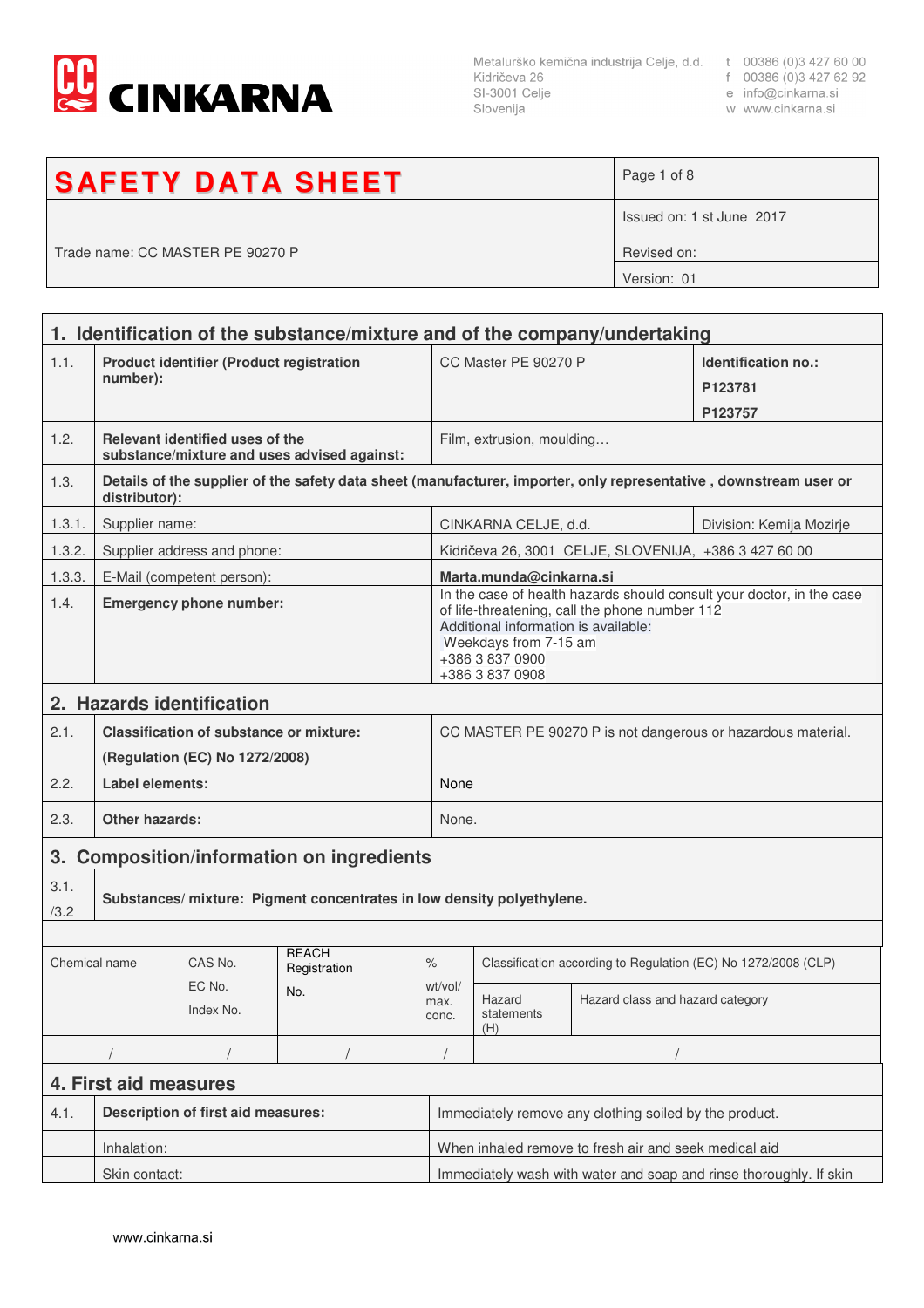

Metalurško kemična industrija Celje, d.d. t 00386 (0)3 427 60 00<br>Kidričeva 26 f 00386 (0)3 427 62 92<br>SI-3001 Celje e info@cinkarna.si Slovenija

- 
- 
- w www.cinkarna.si

| <b>SAFETY DATA SHEET</b>         | Page 1 of 8               |
|----------------------------------|---------------------------|
|                                  | Issued on: 1 st June 2017 |
| Trade name: CC MASTER PE 90270 P | Revised on:               |
|                                  | Version: 01               |
|                                  |                           |

| 1. Identification of the substance/mixture and of the company/undertaking |                                                                                                                                    |                             |                              |                                                              |                                                                                                                                                                                                                                |                                  |  |  |
|---------------------------------------------------------------------------|------------------------------------------------------------------------------------------------------------------------------------|-----------------------------|------------------------------|--------------------------------------------------------------|--------------------------------------------------------------------------------------------------------------------------------------------------------------------------------------------------------------------------------|----------------------------------|--|--|
| 1.1.                                                                      | <b>Product identifier (Product registration</b><br>number):                                                                        |                             |                              |                                                              | CC Master PE 90270 P                                                                                                                                                                                                           | Identification no.:<br>P123781   |  |  |
|                                                                           |                                                                                                                                    |                             |                              |                                                              |                                                                                                                                                                                                                                | P123757                          |  |  |
| 1.2.                                                                      | Relevant identified uses of the<br>substance/mixture and uses advised against:                                                     |                             |                              |                                                              | Film, extrusion, moulding                                                                                                                                                                                                      |                                  |  |  |
| 1.3.                                                                      | Details of the supplier of the safety data sheet (manufacturer, importer, only representative, downstream user or<br>distributor): |                             |                              |                                                              |                                                                                                                                                                                                                                |                                  |  |  |
| 1.3.1.                                                                    | Supplier name:                                                                                                                     |                             |                              |                                                              | CINKARNA CELJE, d.d.<br>Division: Kemija Mozirje                                                                                                                                                                               |                                  |  |  |
| 1.3.2.                                                                    |                                                                                                                                    | Supplier address and phone: |                              |                                                              | Kidričeva 26, 3001 CELJE, SLOVENIJA, +386 3 427 60 00                                                                                                                                                                          |                                  |  |  |
| 1.3.3.                                                                    |                                                                                                                                    | E-Mail (competent person):  |                              |                                                              | Marta.munda@cinkarna.si                                                                                                                                                                                                        |                                  |  |  |
| 1.4.                                                                      | <b>Emergency phone number:</b>                                                                                                     |                             |                              |                                                              | In the case of health hazards should consult your doctor, in the case<br>of life-threatening, call the phone number 112<br>Additional information is available:<br>Weekdays from 7-15 am<br>+386 3 837 0900<br>+386 3 837 0908 |                                  |  |  |
|                                                                           |                                                                                                                                    | 2. Hazards identification   |                              |                                                              |                                                                                                                                                                                                                                |                                  |  |  |
| 2.1.                                                                      | <b>Classification of substance or mixture:</b><br>(Regulation (EC) No 1272/2008)                                                   |                             |                              | CC MASTER PE 90270 P is not dangerous or hazardous material. |                                                                                                                                                                                                                                |                                  |  |  |
| 2.2.                                                                      | Label elements:                                                                                                                    |                             |                              |                                                              | None                                                                                                                                                                                                                           |                                  |  |  |
| 2.3.                                                                      | <b>Other hazards:</b>                                                                                                              |                             |                              |                                                              | None.                                                                                                                                                                                                                          |                                  |  |  |
| <b>Composition/information on ingredients</b><br>3.                       |                                                                                                                                    |                             |                              |                                                              |                                                                                                                                                                                                                                |                                  |  |  |
| 3.1.<br>/3.2                                                              | Substances/ mixture: Pigment concentrates in low density polyethylene.                                                             |                             |                              |                                                              |                                                                                                                                                                                                                                |                                  |  |  |
| Chemical name                                                             |                                                                                                                                    | CAS No.                     | <b>REACH</b><br>Registration | $\%$                                                         | Classification according to Regulation (EC) No 1272/2008 (CLP)                                                                                                                                                                 |                                  |  |  |
| EC No.<br>Index No.                                                       |                                                                                                                                    |                             | No.                          | wt/vol/<br>max.<br>conc.                                     | Hazard<br>statements<br>(H)                                                                                                                                                                                                    | Hazard class and hazard category |  |  |
|                                                                           |                                                                                                                                    |                             |                              |                                                              |                                                                                                                                                                                                                                |                                  |  |  |
| 4. First aid measures                                                     |                                                                                                                                    |                             |                              |                                                              |                                                                                                                                                                                                                                |                                  |  |  |
| 4.1.                                                                      | <b>Description of first aid measures:</b>                                                                                          |                             |                              |                                                              | Immediately remove any clothing soiled by the product.                                                                                                                                                                         |                                  |  |  |
|                                                                           | Inhalation:                                                                                                                        |                             |                              |                                                              | When inhaled remove to fresh air and seek medical aid                                                                                                                                                                          |                                  |  |  |
|                                                                           | Skin contact:                                                                                                                      |                             |                              |                                                              | Immediately wash with water and soap and rinse thoroughly. If skin                                                                                                                                                             |                                  |  |  |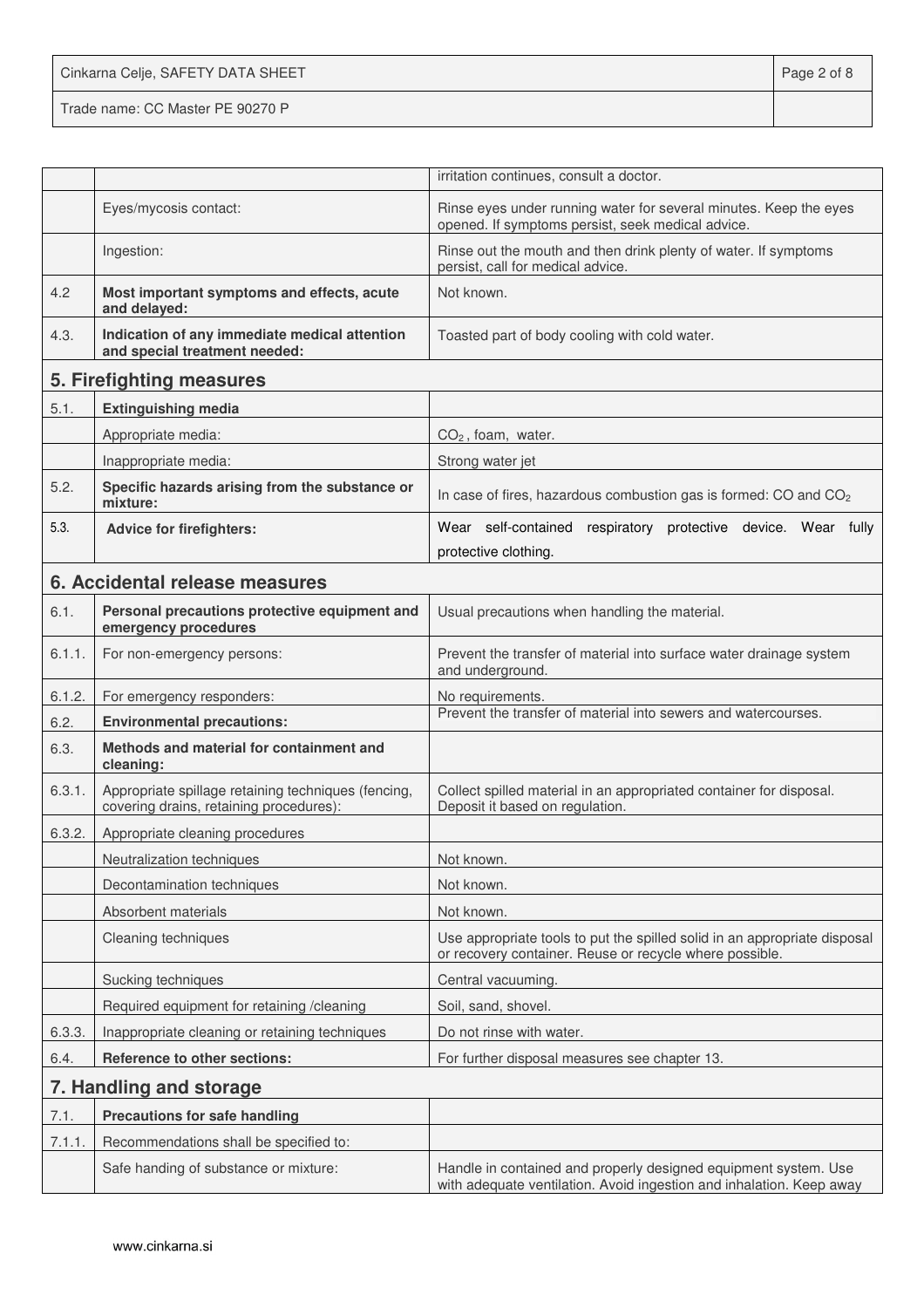Cinkarna Celje, SAFETY DATA SHEET **Page 2 of 8** Trade name: CC Master PE 90270 P

|        |                                                                                                | irritation continues, consult a doctor.                                                                                                 |
|--------|------------------------------------------------------------------------------------------------|-----------------------------------------------------------------------------------------------------------------------------------------|
|        | Eyes/mycosis contact:                                                                          | Rinse eyes under running water for several minutes. Keep the eyes<br>opened. If symptoms persist, seek medical advice.                  |
|        | Ingestion:                                                                                     | Rinse out the mouth and then drink plenty of water. If symptoms<br>persist, call for medical advice.                                    |
| 4.2    | Most important symptoms and effects, acute<br>and delayed:                                     | Not known.                                                                                                                              |
| 4.3.   | Indication of any immediate medical attention<br>and special treatment needed:                 | Toasted part of body cooling with cold water.                                                                                           |
|        | 5. Firefighting measures                                                                       |                                                                                                                                         |
| 5.1.   | <b>Extinguishing media</b>                                                                     |                                                                                                                                         |
|        | Appropriate media:                                                                             | $CO2$ , foam, water.                                                                                                                    |
|        | Inappropriate media:                                                                           | Strong water jet                                                                                                                        |
| 5.2.   | Specific hazards arising from the substance or<br>mixture:                                     | In case of fires, hazardous combustion gas is formed: CO and CO <sub>2</sub>                                                            |
| 5.3.   | <b>Advice for firefighters:</b>                                                                | Wear self-contained respiratory protective device. Wear fully                                                                           |
|        |                                                                                                | protective clothing.                                                                                                                    |
|        | 6. Accidental release measures                                                                 |                                                                                                                                         |
| 6.1.   | Personal precautions protective equipment and<br>emergency procedures                          | Usual precautions when handling the material.                                                                                           |
| 6.1.1. | For non-emergency persons:                                                                     | Prevent the transfer of material into surface water drainage system<br>and underground.                                                 |
| 6.1.2. | For emergency responders:                                                                      | No requirements.                                                                                                                        |
| 6.2.   | <b>Environmental precautions:</b>                                                              | Prevent the transfer of material into sewers and watercourses.                                                                          |
| 6.3.   | Methods and material for containment and<br>cleaning:                                          |                                                                                                                                         |
| 6.3.1. | Appropriate spillage retaining techniques (fencing,<br>covering drains, retaining procedures): | Collect spilled material in an appropriated container for disposal.<br>Deposit it based on regulation.                                  |
| 6.3.2. | Appropriate cleaning procedures                                                                |                                                                                                                                         |
|        | Neutralization techniques                                                                      | Not known.                                                                                                                              |
|        | Decontamination techniques                                                                     | Not known.                                                                                                                              |
|        | Absorbent materials                                                                            | Not known.                                                                                                                              |
|        | Cleaning techniques                                                                            | Use appropriate tools to put the spilled solid in an appropriate disposal<br>or recovery container. Reuse or recycle where possible.    |
|        | Sucking techniques                                                                             | Central vacuuming.                                                                                                                      |
|        | Required equipment for retaining /cleaning                                                     | Soil, sand, shovel.                                                                                                                     |
| 6.3.3. | Inappropriate cleaning or retaining techniques                                                 | Do not rinse with water.                                                                                                                |
| 6.4.   | Reference to other sections:                                                                   | For further disposal measures see chapter 13.                                                                                           |
|        | 7. Handling and storage                                                                        |                                                                                                                                         |
| 7.1.   | <b>Precautions for safe handling</b>                                                           |                                                                                                                                         |
| 7.1.1. | Recommendations shall be specified to:                                                         |                                                                                                                                         |
|        | Safe handing of substance or mixture:                                                          | Handle in contained and properly designed equipment system. Use<br>with adequate ventilation. Avoid ingestion and inhalation. Keep away |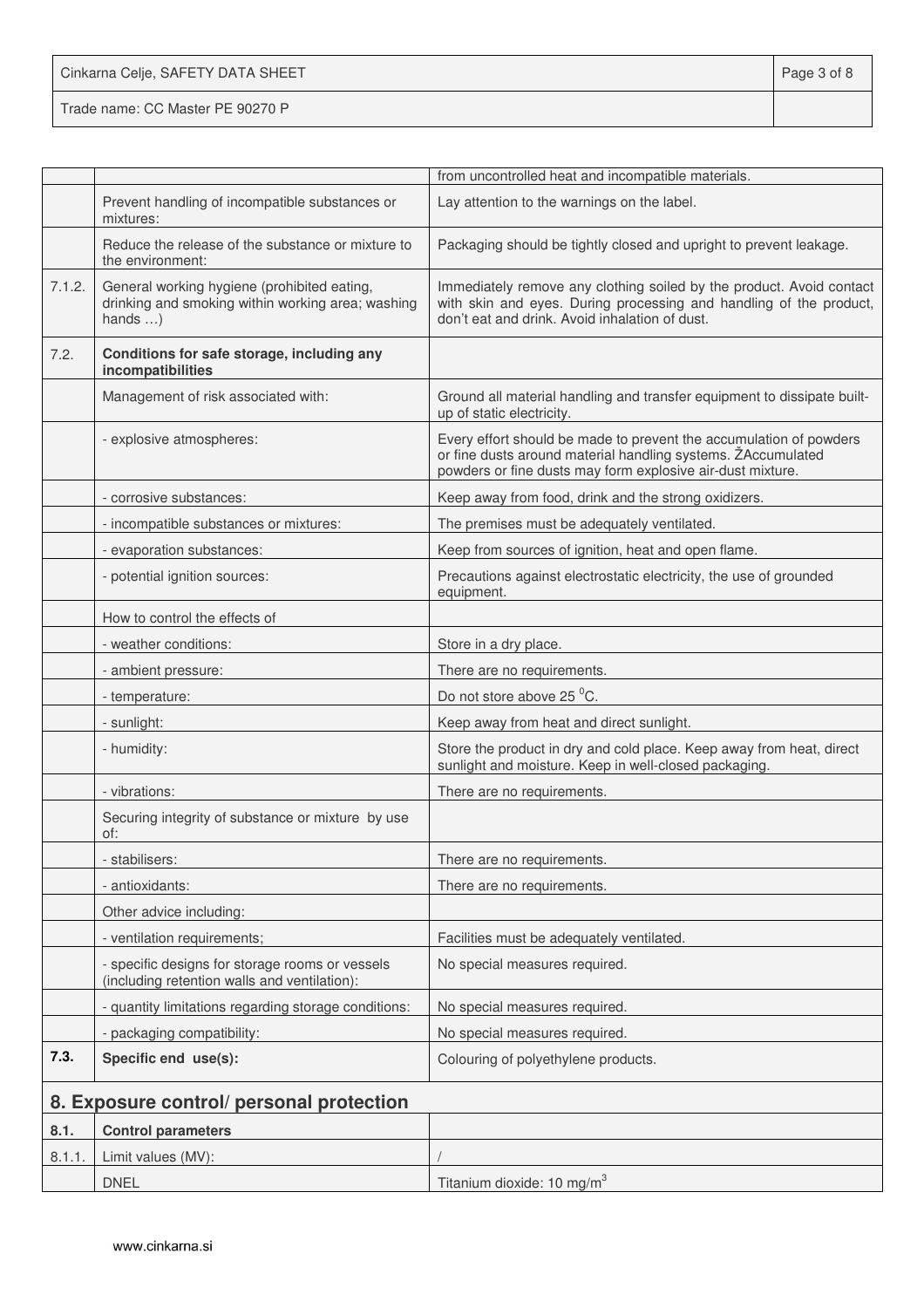Cinkarna Celje, SAFETY DATA SHEET **Page 3 of 8** 

Trade name: CC Master PE 90270 P

|        |                                                                                                                      | from uncontrolled heat and incompatible materials.                                                                                                                                               |
|--------|----------------------------------------------------------------------------------------------------------------------|--------------------------------------------------------------------------------------------------------------------------------------------------------------------------------------------------|
|        | Prevent handling of incompatible substances or<br>mixtures:                                                          | Lay attention to the warnings on the label.                                                                                                                                                      |
|        | Reduce the release of the substance or mixture to<br>the environment:                                                | Packaging should be tightly closed and upright to prevent leakage.                                                                                                                               |
| 7.1.2. | General working hygiene (prohibited eating,<br>drinking and smoking within working area; washing<br>hands $\ldots$ ) | Immediately remove any clothing soiled by the product. Avoid contact<br>with skin and eyes. During processing and handling of the product,<br>don't eat and drink. Avoid inhalation of dust.     |
| 7.2.   | Conditions for safe storage, including any<br>incompatibilities                                                      |                                                                                                                                                                                                  |
|        | Management of risk associated with:                                                                                  | Ground all material handling and transfer equipment to dissipate built-<br>up of static electricity.                                                                                             |
|        | - explosive atmospheres:                                                                                             | Every effort should be made to prevent the accumulation of powders<br>or fine dusts around material handling systems. ŽAccumulated<br>powders or fine dusts may form explosive air-dust mixture. |
|        | - corrosive substances:                                                                                              | Keep away from food, drink and the strong oxidizers.                                                                                                                                             |
|        | - incompatible substances or mixtures:                                                                               | The premises must be adequately ventilated.                                                                                                                                                      |
|        | - evaporation substances:                                                                                            | Keep from sources of ignition, heat and open flame.                                                                                                                                              |
|        | - potential ignition sources:                                                                                        | Precautions against electrostatic electricity, the use of grounded<br>equipment.                                                                                                                 |
|        | How to control the effects of                                                                                        |                                                                                                                                                                                                  |
|        | - weather conditions:                                                                                                | Store in a dry place.                                                                                                                                                                            |
|        | - ambient pressure:                                                                                                  | There are no requirements.                                                                                                                                                                       |
|        | - temperature:                                                                                                       | Do not store above 25 °C.                                                                                                                                                                        |
|        | - sunlight:                                                                                                          | Keep away from heat and direct sunlight.                                                                                                                                                         |
|        | - humidity:                                                                                                          | Store the product in dry and cold place. Keep away from heat, direct<br>sunlight and moisture. Keep in well-closed packaging.                                                                    |
|        | - vibrations:                                                                                                        | There are no requirements.                                                                                                                                                                       |
|        | Securing integrity of substance or mixture by use<br>of:                                                             |                                                                                                                                                                                                  |
|        | stabilisers:                                                                                                         | There are no requirements.                                                                                                                                                                       |
|        | - antioxidants:                                                                                                      | There are no requirements.                                                                                                                                                                       |
|        | Other advice including:                                                                                              |                                                                                                                                                                                                  |
|        | - ventilation requirements;                                                                                          | Facilities must be adequately ventilated.                                                                                                                                                        |
|        | - specific designs for storage rooms or vessels<br>(including retention walls and ventilation):                      | No special measures required.                                                                                                                                                                    |
|        | - quantity limitations regarding storage conditions:                                                                 | No special measures required.                                                                                                                                                                    |
|        | - packaging compatibility:                                                                                           | No special measures required.                                                                                                                                                                    |
| 7.3.   | Specific end use(s):                                                                                                 | Colouring of polyethylene products.                                                                                                                                                              |
|        | 8. Exposure control/ personal protection                                                                             |                                                                                                                                                                                                  |
| 8.1.   | <b>Control parameters</b>                                                                                            |                                                                                                                                                                                                  |
| 8.1.1. | Limit values (MV):                                                                                                   |                                                                                                                                                                                                  |
|        | <b>DNEL</b>                                                                                                          | Titanium dioxide: 10 mg/m <sup>3</sup>                                                                                                                                                           |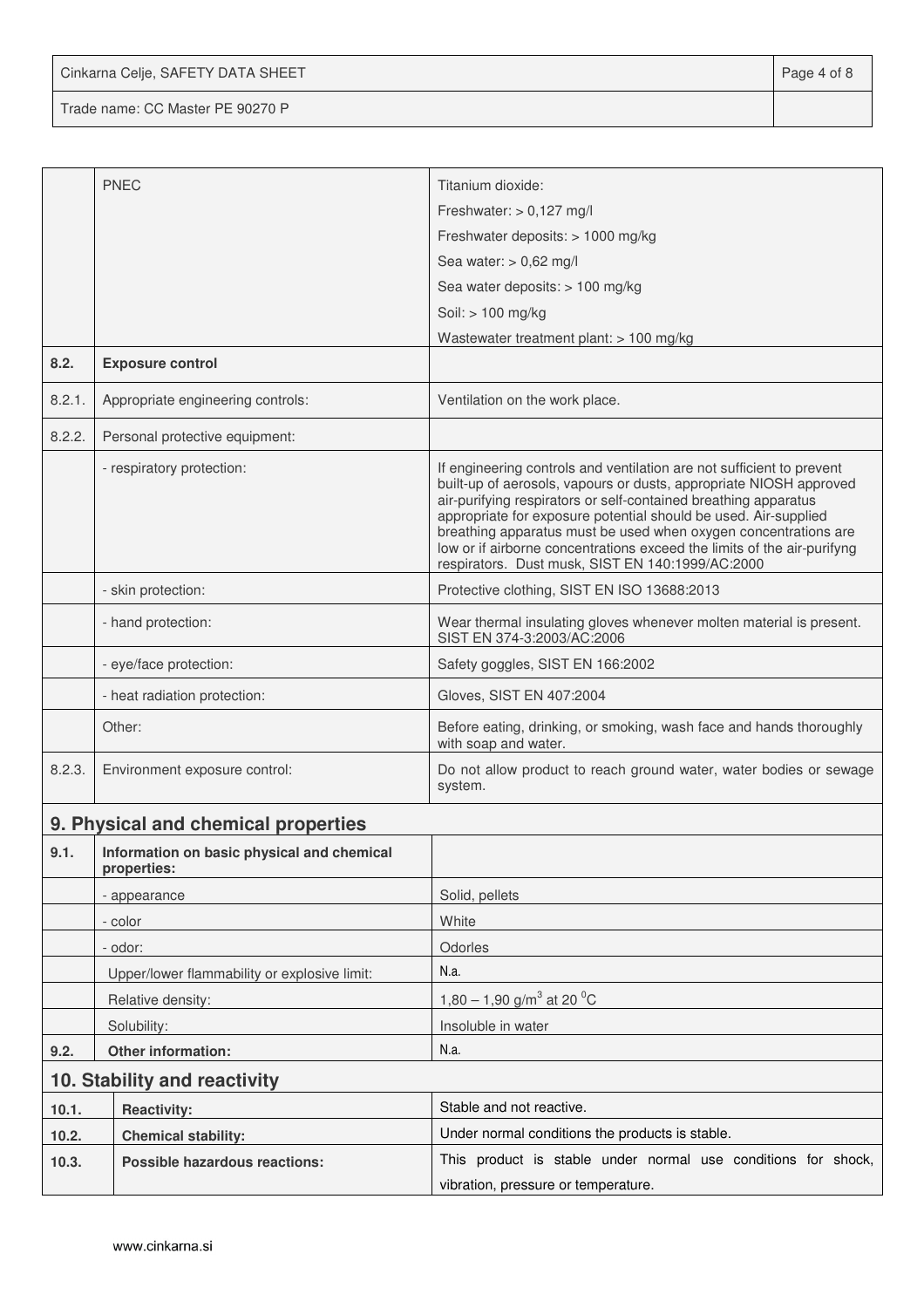Cinkarna Celje, SAFETY DATA SHEET **Page 4 of 8** 

Trade name: CC Master PE 90270 P

|                                     | <b>PNEC</b>                                               | Titanium dioxide:<br>Freshwater: $> 0,127$ mg/l                                                                                                                                                                                                                                                                                                                                                                                                                                     |  |  |
|-------------------------------------|-----------------------------------------------------------|-------------------------------------------------------------------------------------------------------------------------------------------------------------------------------------------------------------------------------------------------------------------------------------------------------------------------------------------------------------------------------------------------------------------------------------------------------------------------------------|--|--|
|                                     |                                                           |                                                                                                                                                                                                                                                                                                                                                                                                                                                                                     |  |  |
|                                     |                                                           | Freshwater deposits: > 1000 mg/kg                                                                                                                                                                                                                                                                                                                                                                                                                                                   |  |  |
|                                     |                                                           | Sea water: $> 0.62$ mg/l                                                                                                                                                                                                                                                                                                                                                                                                                                                            |  |  |
|                                     |                                                           | Sea water deposits: > 100 mg/kg                                                                                                                                                                                                                                                                                                                                                                                                                                                     |  |  |
|                                     |                                                           | Soil: > 100 mg/kg<br>Wastewater treatment plant: > 100 mg/kg                                                                                                                                                                                                                                                                                                                                                                                                                        |  |  |
| 8.2.                                | <b>Exposure control</b>                                   |                                                                                                                                                                                                                                                                                                                                                                                                                                                                                     |  |  |
| 8.2.1.                              | Appropriate engineering controls:                         | Ventilation on the work place.                                                                                                                                                                                                                                                                                                                                                                                                                                                      |  |  |
| 8.2.2.                              | Personal protective equipment:                            |                                                                                                                                                                                                                                                                                                                                                                                                                                                                                     |  |  |
|                                     | - respiratory protection:                                 | If engineering controls and ventilation are not sufficient to prevent<br>built-up of aerosols, vapours or dusts, appropriate NIOSH approved<br>air-purifying respirators or self-contained breathing apparatus<br>appropriate for exposure potential should be used. Air-supplied<br>breathing apparatus must be used when oxygen concentrations are<br>low or if airborne concentrations exceed the limits of the air-purifyng<br>respirators. Dust musk, SIST EN 140:1999/AC:2000 |  |  |
|                                     | - skin protection:                                        | Protective clothing, SIST EN ISO 13688:2013                                                                                                                                                                                                                                                                                                                                                                                                                                         |  |  |
|                                     | - hand protection:                                        | Wear thermal insulating gloves whenever molten material is present.<br>SIST EN 374-3:2003/AC:2006                                                                                                                                                                                                                                                                                                                                                                                   |  |  |
|                                     | - eye/face protection:                                    | Safety goggles, SIST EN 166:2002                                                                                                                                                                                                                                                                                                                                                                                                                                                    |  |  |
|                                     | - heat radiation protection:                              | Gloves, SIST EN 407:2004                                                                                                                                                                                                                                                                                                                                                                                                                                                            |  |  |
|                                     | Other:                                                    | Before eating, drinking, or smoking, wash face and hands thoroughly<br>with soap and water.                                                                                                                                                                                                                                                                                                                                                                                         |  |  |
| 8.2.3.                              | Environment exposure control:                             | Do not allow product to reach ground water, water bodies or sewage<br>system.                                                                                                                                                                                                                                                                                                                                                                                                       |  |  |
|                                     | 9. Physical and chemical properties                       |                                                                                                                                                                                                                                                                                                                                                                                                                                                                                     |  |  |
| 9.1.                                | Information on basic physical and chemical<br>properties: |                                                                                                                                                                                                                                                                                                                                                                                                                                                                                     |  |  |
|                                     | - appearance                                              | Solid, pellets                                                                                                                                                                                                                                                                                                                                                                                                                                                                      |  |  |
|                                     | - color                                                   | White                                                                                                                                                                                                                                                                                                                                                                                                                                                                               |  |  |
|                                     | - odor:                                                   | Odorles                                                                                                                                                                                                                                                                                                                                                                                                                                                                             |  |  |
|                                     | Upper/lower flammability or explosive limit:              | N.a.                                                                                                                                                                                                                                                                                                                                                                                                                                                                                |  |  |
|                                     | Relative density:                                         | 1,80 – 1,90 g/m <sup>3</sup> at 20 <sup>o</sup> C                                                                                                                                                                                                                                                                                                                                                                                                                                   |  |  |
|                                     | Solubility:                                               | Insoluble in water                                                                                                                                                                                                                                                                                                                                                                                                                                                                  |  |  |
| 9.2.                                | Other information:                                        | N.a.                                                                                                                                                                                                                                                                                                                                                                                                                                                                                |  |  |
|                                     | 10. Stability and reactivity                              |                                                                                                                                                                                                                                                                                                                                                                                                                                                                                     |  |  |
| 10.1.                               | <b>Reactivity:</b>                                        | Stable and not reactive.                                                                                                                                                                                                                                                                                                                                                                                                                                                            |  |  |
| 10.2.<br><b>Chemical stability:</b> |                                                           | Under normal conditions the products is stable.                                                                                                                                                                                                                                                                                                                                                                                                                                     |  |  |
| 10.3.                               | <b>Possible hazardous reactions:</b>                      | This product is stable under normal use conditions for shock,                                                                                                                                                                                                                                                                                                                                                                                                                       |  |  |
|                                     |                                                           | vibration, pressure or temperature.                                                                                                                                                                                                                                                                                                                                                                                                                                                 |  |  |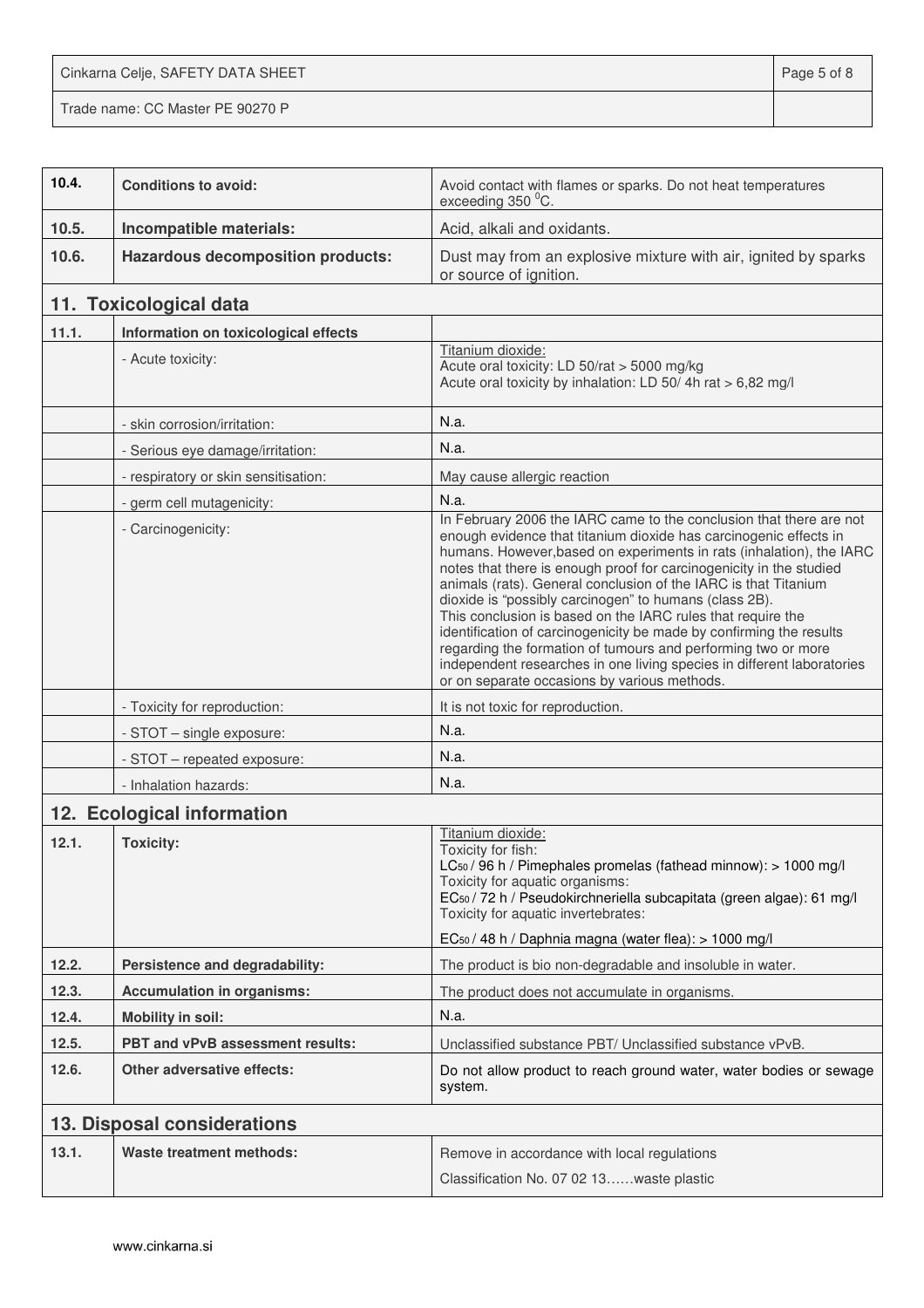Cinkarna Celje, SAFETY DATA SHEET **Page 5 of 8** 

Trade name: CC Master PE 90270 P

| 10.4. | <b>Conditions to avoid:</b>              | Avoid contact with flames or sparks. Do not heat temperatures<br>exceeding 350 °C.                                                                                                                                                                                                                                                                                                                                                                                                                                                                                                                                                                                                                                                                    |
|-------|------------------------------------------|-------------------------------------------------------------------------------------------------------------------------------------------------------------------------------------------------------------------------------------------------------------------------------------------------------------------------------------------------------------------------------------------------------------------------------------------------------------------------------------------------------------------------------------------------------------------------------------------------------------------------------------------------------------------------------------------------------------------------------------------------------|
| 10.5. | Incompatible materials:                  | Acid, alkali and oxidants.                                                                                                                                                                                                                                                                                                                                                                                                                                                                                                                                                                                                                                                                                                                            |
| 10.6. | <b>Hazardous decomposition products:</b> | Dust may from an explosive mixture with air, ignited by sparks<br>or source of ignition.                                                                                                                                                                                                                                                                                                                                                                                                                                                                                                                                                                                                                                                              |
|       | 11. Toxicological data                   |                                                                                                                                                                                                                                                                                                                                                                                                                                                                                                                                                                                                                                                                                                                                                       |
| 11.1. | Information on toxicological effects     |                                                                                                                                                                                                                                                                                                                                                                                                                                                                                                                                                                                                                                                                                                                                                       |
|       | - Acute toxicity:                        | Titanium dioxide:<br>Acute oral toxicity: LD 50/rat > 5000 mg/kg<br>Acute oral toxicity by inhalation: LD 50/4h rat > 6,82 mg/l                                                                                                                                                                                                                                                                                                                                                                                                                                                                                                                                                                                                                       |
|       | - skin corrosion/irritation:             | N.a.                                                                                                                                                                                                                                                                                                                                                                                                                                                                                                                                                                                                                                                                                                                                                  |
|       | - Serious eye damage/irritation:         | N.a.                                                                                                                                                                                                                                                                                                                                                                                                                                                                                                                                                                                                                                                                                                                                                  |
|       | - respiratory or skin sensitisation:     | May cause allergic reaction                                                                                                                                                                                                                                                                                                                                                                                                                                                                                                                                                                                                                                                                                                                           |
|       | - germ cell mutagenicity:                | N.a.                                                                                                                                                                                                                                                                                                                                                                                                                                                                                                                                                                                                                                                                                                                                                  |
|       | - Carcinogenicity:                       | In February 2006 the IARC came to the conclusion that there are not<br>enough evidence that titanium dioxide has carcinogenic effects in<br>humans. However, based on experiments in rats (inhalation), the IARC<br>notes that there is enough proof for carcinogenicity in the studied<br>animals (rats). General conclusion of the IARC is that Titanium<br>dioxide is "possibly carcinogen" to humans (class 2B).<br>This conclusion is based on the IARC rules that require the<br>identification of carcinogenicity be made by confirming the results<br>regarding the formation of tumours and performing two or more<br>independent researches in one living species in different laboratories<br>or on separate occasions by various methods. |
|       | - Toxicity for reproduction:             | It is not toxic for reproduction.                                                                                                                                                                                                                                                                                                                                                                                                                                                                                                                                                                                                                                                                                                                     |
|       | - STOT - single exposure:                | N.a.                                                                                                                                                                                                                                                                                                                                                                                                                                                                                                                                                                                                                                                                                                                                                  |
|       | - STOT - repeated exposure:              | N.a.                                                                                                                                                                                                                                                                                                                                                                                                                                                                                                                                                                                                                                                                                                                                                  |
|       | - Inhalation hazards:                    | N.a.                                                                                                                                                                                                                                                                                                                                                                                                                                                                                                                                                                                                                                                                                                                                                  |
|       | 12. Ecological information               |                                                                                                                                                                                                                                                                                                                                                                                                                                                                                                                                                                                                                                                                                                                                                       |
| 12.1. | <b>Toxicity:</b>                         | Titanium dioxide:<br>Toxicity for fish:<br>$LC_{50}$ / 96 h / Pimephales promelas (fathead minnow): $> 1000$ mg/l<br>Toxicity for aquatic organisms:<br>EC <sub>50</sub> / 72 h / Pseudokirchneriella subcapitata (green algae): 61 mg/l<br>Toxicity for aquatic invertebrates:<br>EC <sub>50</sub> / 48 h / Daphnia magna (water flea): > 1000 mg/l                                                                                                                                                                                                                                                                                                                                                                                                  |
| 12.2. | Persistence and degradability:           | The product is bio non-degradable and insoluble in water.                                                                                                                                                                                                                                                                                                                                                                                                                                                                                                                                                                                                                                                                                             |
| 12.3. | <b>Accumulation in organisms:</b>        | The product does not accumulate in organisms.                                                                                                                                                                                                                                                                                                                                                                                                                                                                                                                                                                                                                                                                                                         |
| 12.4. | <b>Mobility in soil:</b>                 | N.a.                                                                                                                                                                                                                                                                                                                                                                                                                                                                                                                                                                                                                                                                                                                                                  |
| 12.5. | PBT and vPvB assessment results:         | Unclassified substance PBT/ Unclassified substance vPvB.                                                                                                                                                                                                                                                                                                                                                                                                                                                                                                                                                                                                                                                                                              |
| 12.6. | <b>Other adversative effects:</b>        | Do not allow product to reach ground water, water bodies or sewage<br>system.                                                                                                                                                                                                                                                                                                                                                                                                                                                                                                                                                                                                                                                                         |
|       | 13. Disposal considerations              |                                                                                                                                                                                                                                                                                                                                                                                                                                                                                                                                                                                                                                                                                                                                                       |
| 13.1. | Waste treatment methods:                 | Remove in accordance with local regulations<br>Classification No. 07 02 13waste plastic                                                                                                                                                                                                                                                                                                                                                                                                                                                                                                                                                                                                                                                               |
|       |                                          |                                                                                                                                                                                                                                                                                                                                                                                                                                                                                                                                                                                                                                                                                                                                                       |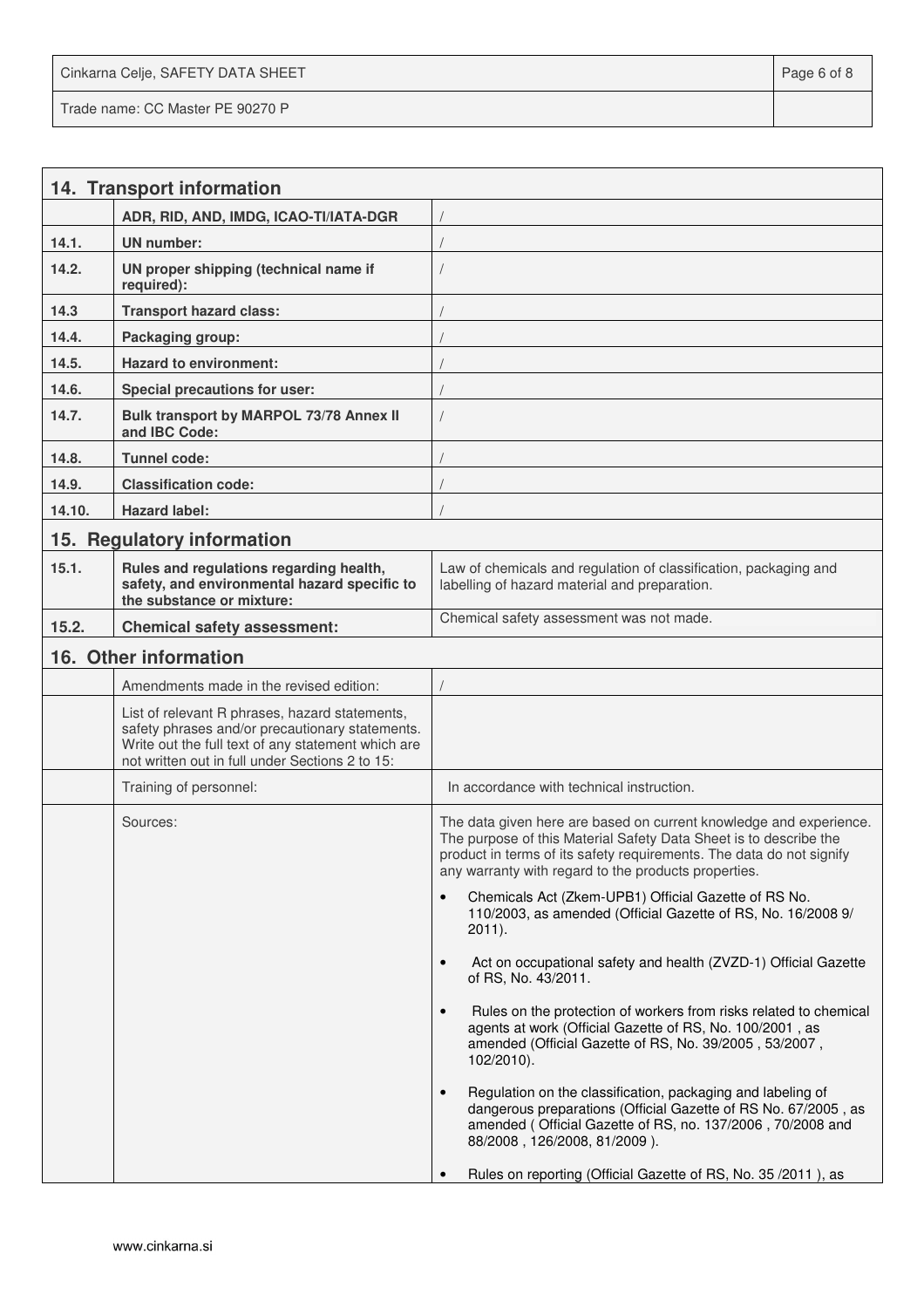Cinkarna Celje, SAFETY DATA SHEET **Page 6 of 8** and 2011 12 and 2012 12 and 2012 12 and 2012 12 and 2012 12 and 201 Trade name: CC Master PE 90270 P

|        | 14. Transport information                                                                                                                                                                                  |                                                                                                                                                                                                                                                                         |
|--------|------------------------------------------------------------------------------------------------------------------------------------------------------------------------------------------------------------|-------------------------------------------------------------------------------------------------------------------------------------------------------------------------------------------------------------------------------------------------------------------------|
|        | ADR, RID, AND, IMDG, ICAO-TI/IATA-DGR                                                                                                                                                                      |                                                                                                                                                                                                                                                                         |
| 14.1.  | UN number:                                                                                                                                                                                                 |                                                                                                                                                                                                                                                                         |
| 14.2.  | UN proper shipping (technical name if<br>required):                                                                                                                                                        |                                                                                                                                                                                                                                                                         |
| 14.3   | <b>Transport hazard class:</b>                                                                                                                                                                             |                                                                                                                                                                                                                                                                         |
| 14.4.  | Packaging group:                                                                                                                                                                                           |                                                                                                                                                                                                                                                                         |
| 14.5.  | <b>Hazard to environment:</b>                                                                                                                                                                              |                                                                                                                                                                                                                                                                         |
| 14.6.  | <b>Special precautions for user:</b>                                                                                                                                                                       |                                                                                                                                                                                                                                                                         |
| 14.7.  | Bulk transport by MARPOL 73/78 Annex II<br>and IBC Code:                                                                                                                                                   |                                                                                                                                                                                                                                                                         |
| 14.8.  | Tunnel code:                                                                                                                                                                                               |                                                                                                                                                                                                                                                                         |
| 14.9.  | <b>Classification code:</b>                                                                                                                                                                                |                                                                                                                                                                                                                                                                         |
| 14.10. | <b>Hazard label:</b>                                                                                                                                                                                       |                                                                                                                                                                                                                                                                         |
|        | 15. Regulatory information                                                                                                                                                                                 |                                                                                                                                                                                                                                                                         |
| 15.1.  | Rules and regulations regarding health,<br>safety, and environmental hazard specific to<br>the substance or mixture:                                                                                       | Law of chemicals and regulation of classification, packaging and<br>labelling of hazard material and preparation.                                                                                                                                                       |
| 15.2.  | <b>Chemical safety assessment:</b>                                                                                                                                                                         | Chemical safety assessment was not made.                                                                                                                                                                                                                                |
|        | 16. Other information                                                                                                                                                                                      |                                                                                                                                                                                                                                                                         |
|        | Amendments made in the revised edition:                                                                                                                                                                    |                                                                                                                                                                                                                                                                         |
|        | List of relevant R phrases, hazard statements,<br>safety phrases and/or precautionary statements.<br>Write out the full text of any statement which are<br>not written out in full under Sections 2 to 15: |                                                                                                                                                                                                                                                                         |
|        | Training of personnel:                                                                                                                                                                                     | In accordance with technical instruction.                                                                                                                                                                                                                               |
|        | Sources:                                                                                                                                                                                                   | The data given here are based on current knowledge and experience.<br>The purpose of this Material Safety Data Sheet is to describe the<br>product in terms of its safety requirements. The data do not signify<br>any warranty with regard to the products properties. |
|        |                                                                                                                                                                                                            | Chemicals Act (Zkem-UPB1) Official Gazette of RS No.<br>$\bullet$<br>110/2003, as amended (Official Gazette of RS, No. 16/2008 9/<br>$2011$ ).                                                                                                                          |
|        |                                                                                                                                                                                                            | Act on occupational safety and health (ZVZD-1) Official Gazette<br>$\bullet$<br>of RS, No. 43/2011.                                                                                                                                                                     |
|        |                                                                                                                                                                                                            | Rules on the protection of workers from risks related to chemical<br>$\bullet$<br>agents at work (Official Gazette of RS, No. 100/2001, as<br>amended (Official Gazette of RS, No. 39/2005, 53/2007,<br>102/2010).                                                      |
|        |                                                                                                                                                                                                            | Regulation on the classification, packaging and labeling of<br>$\bullet$<br>dangerous preparations (Official Gazette of RS No. 67/2005, as<br>amended (Official Gazette of RS, no. 137/2006, 70/2008 and<br>88/2008, 126/2008, 81/2009).                                |
|        |                                                                                                                                                                                                            | Rules on reporting (Official Gazette of RS, No. 35/2011), as                                                                                                                                                                                                            |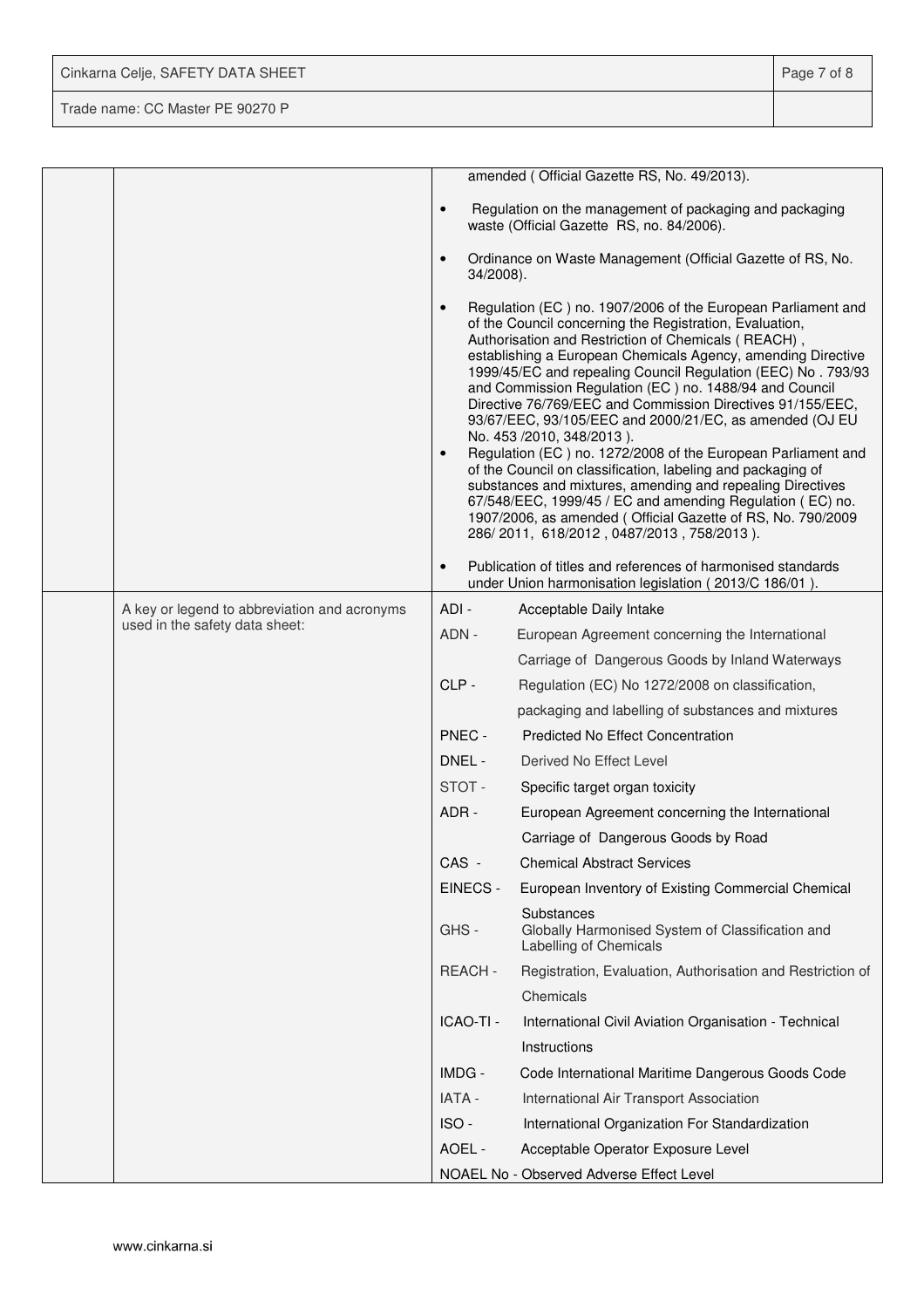| Cinkarna Celje, SAFETY DATA SHEET | Page 7 of 8 |
|-----------------------------------|-------------|
| Trade name: CC Master PE 90270 P  |             |

|  |                                              |                        | amended (Official Gazette RS, No. 49/2013).                                                                                                                                                                                                                                                                                                                                                                                                                                                                                                                                                                                                                                                                                                                                                                                                                                                          |
|--|----------------------------------------------|------------------------|------------------------------------------------------------------------------------------------------------------------------------------------------------------------------------------------------------------------------------------------------------------------------------------------------------------------------------------------------------------------------------------------------------------------------------------------------------------------------------------------------------------------------------------------------------------------------------------------------------------------------------------------------------------------------------------------------------------------------------------------------------------------------------------------------------------------------------------------------------------------------------------------------|
|  |                                              | $\bullet$              | Regulation on the management of packaging and packaging<br>waste (Official Gazette RS, no. 84/2006).                                                                                                                                                                                                                                                                                                                                                                                                                                                                                                                                                                                                                                                                                                                                                                                                 |
|  |                                              | $\bullet$<br>34/2008). | Ordinance on Waste Management (Official Gazette of RS, No.                                                                                                                                                                                                                                                                                                                                                                                                                                                                                                                                                                                                                                                                                                                                                                                                                                           |
|  |                                              | $\bullet$<br>$\bullet$ | Regulation (EC) no. 1907/2006 of the European Parliament and<br>of the Council concerning the Registration, Evaluation,<br>Authorisation and Restriction of Chemicals (REACH),<br>establishing a European Chemicals Agency, amending Directive<br>1999/45/EC and repealing Council Regulation (EEC) No. 793/93<br>and Commission Regulation (EC) no. 1488/94 and Council<br>Directive 76/769/EEC and Commission Directives 91/155/EEC,<br>93/67/EEC, 93/105/EEC and 2000/21/EC, as amended (OJ EU<br>No. 453 /2010, 348/2013).<br>Regulation (EC) no. 1272/2008 of the European Parliament and<br>of the Council on classification, labeling and packaging of<br>substances and mixtures, amending and repealing Directives<br>67/548/EEC, 1999/45 / EC and amending Regulation (EC) no.<br>1907/2006, as amended (Official Gazette of RS, No. 790/2009<br>286/2011, 618/2012, 0487/2013, 758/2013). |
|  |                                              | $\bullet$              | Publication of titles and references of harmonised standards<br>under Union harmonisation legislation (2013/C 186/01).                                                                                                                                                                                                                                                                                                                                                                                                                                                                                                                                                                                                                                                                                                                                                                               |
|  | A key or legend to abbreviation and acronyms | ADI-                   | Acceptable Daily Intake                                                                                                                                                                                                                                                                                                                                                                                                                                                                                                                                                                                                                                                                                                                                                                                                                                                                              |
|  | used in the safety data sheet:               | ADN -                  | European Agreement concerning the International                                                                                                                                                                                                                                                                                                                                                                                                                                                                                                                                                                                                                                                                                                                                                                                                                                                      |
|  |                                              |                        | Carriage of Dangerous Goods by Inland Waterways                                                                                                                                                                                                                                                                                                                                                                                                                                                                                                                                                                                                                                                                                                                                                                                                                                                      |
|  |                                              | CLP-                   | Regulation (EC) No 1272/2008 on classification,                                                                                                                                                                                                                                                                                                                                                                                                                                                                                                                                                                                                                                                                                                                                                                                                                                                      |
|  |                                              |                        | packaging and labelling of substances and mixtures                                                                                                                                                                                                                                                                                                                                                                                                                                                                                                                                                                                                                                                                                                                                                                                                                                                   |
|  |                                              | PNEC -                 | <b>Predicted No Effect Concentration</b>                                                                                                                                                                                                                                                                                                                                                                                                                                                                                                                                                                                                                                                                                                                                                                                                                                                             |
|  |                                              | DNEL -                 | Derived No Effect Level                                                                                                                                                                                                                                                                                                                                                                                                                                                                                                                                                                                                                                                                                                                                                                                                                                                                              |
|  |                                              | STOT-                  | Specific target organ toxicity                                                                                                                                                                                                                                                                                                                                                                                                                                                                                                                                                                                                                                                                                                                                                                                                                                                                       |
|  |                                              | ADR-                   | European Agreement concerning the International                                                                                                                                                                                                                                                                                                                                                                                                                                                                                                                                                                                                                                                                                                                                                                                                                                                      |
|  |                                              |                        | Carriage of Dangerous Goods by Road                                                                                                                                                                                                                                                                                                                                                                                                                                                                                                                                                                                                                                                                                                                                                                                                                                                                  |
|  |                                              | CAS -                  | <b>Chemical Abstract Services</b>                                                                                                                                                                                                                                                                                                                                                                                                                                                                                                                                                                                                                                                                                                                                                                                                                                                                    |
|  |                                              | EINECS -               | European Inventory of Existing Commercial Chemical                                                                                                                                                                                                                                                                                                                                                                                                                                                                                                                                                                                                                                                                                                                                                                                                                                                   |
|  |                                              | GHS-                   | Substances<br>Globally Harmonised System of Classification and<br>Labelling of Chemicals                                                                                                                                                                                                                                                                                                                                                                                                                                                                                                                                                                                                                                                                                                                                                                                                             |
|  |                                              | REACH-                 | Registration, Evaluation, Authorisation and Restriction of                                                                                                                                                                                                                                                                                                                                                                                                                                                                                                                                                                                                                                                                                                                                                                                                                                           |
|  |                                              |                        | Chemicals                                                                                                                                                                                                                                                                                                                                                                                                                                                                                                                                                                                                                                                                                                                                                                                                                                                                                            |
|  |                                              | ICAO-TI -              | International Civil Aviation Organisation - Technical                                                                                                                                                                                                                                                                                                                                                                                                                                                                                                                                                                                                                                                                                                                                                                                                                                                |
|  |                                              |                        | Instructions                                                                                                                                                                                                                                                                                                                                                                                                                                                                                                                                                                                                                                                                                                                                                                                                                                                                                         |
|  |                                              | IMDG -                 | Code International Maritime Dangerous Goods Code                                                                                                                                                                                                                                                                                                                                                                                                                                                                                                                                                                                                                                                                                                                                                                                                                                                     |
|  |                                              | IATA -                 | International Air Transport Association                                                                                                                                                                                                                                                                                                                                                                                                                                                                                                                                                                                                                                                                                                                                                                                                                                                              |
|  |                                              | ISO-                   | International Organization For Standardization                                                                                                                                                                                                                                                                                                                                                                                                                                                                                                                                                                                                                                                                                                                                                                                                                                                       |
|  |                                              | AOEL -                 | Acceptable Operator Exposure Level                                                                                                                                                                                                                                                                                                                                                                                                                                                                                                                                                                                                                                                                                                                                                                                                                                                                   |
|  |                                              |                        | NOAEL No - Observed Adverse Effect Level                                                                                                                                                                                                                                                                                                                                                                                                                                                                                                                                                                                                                                                                                                                                                                                                                                                             |